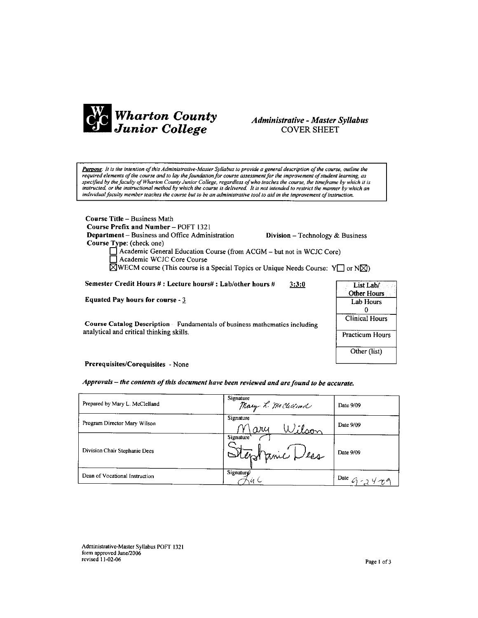

## **Administrative - Master Syllabus COVER SHEET**

Purpose: It is the intention of this Administrative-Master Syllabus to provide a general description of the course, outline the required elements of the course and to lay the foundation for course assessment for the improvement of student learning, as specified by the faculty of Wharton County Junior College, regardless of who teaches the course, the timeframe by which it is<br>instructed, or the instructional method by which the course is delivered. It is not intended to individual faculty member teaches the course but to be an administrative tool to aid in the improvement of instruction.

**Course Title - Business Math** Course Prefix and Number - POFT 1321

Department - Business and Office Administration

Division - Technology & Business

Course Type: (check one) Academic General Education Course (from ACGM - but not in WCJC Core) Academic WCJC Core Course

 $\overline{\boxtimes}$ WECM course (This course is a Special Topics or Unique Needs Course: Y $\Box$  or N $\boxtimes$ )

Semester Credit Hours #: Lecture hours#: Lab/other hours #  $3:3:0$ 

Equated Pay hours for course - 3

Course Catalog Description - Fundamentals of business mathematics including analytical and critical thinking skills.

| List Lab/             |
|-----------------------|
| <b>Other Hours</b>    |
| <b>Lab Hours</b>      |
| 0                     |
| <b>Clinical Hours</b> |
| Practicum Hours       |
| Other (list)          |

Prerequisites/Corequisites - None

Approvals - the contents of this document have been reviewed and are found to be accurate.

| Prepared by Mary L. McClelland | Signature<br>Mary R. McClelland | Date 9/09           |
|--------------------------------|---------------------------------|---------------------|
| Program Director Mary Wilson   | Signature<br>Wilson<br>ary      | Date 9/09           |
| Division Chair Stephanie Dees  | Signature'<br>Stephanic Dess    | Date 9/09           |
| Dean of Vocational Instruction | Signaturg/                      | Date $G - 24\gamma$ |

Administrative-Master Syllabus POFT 1321 form approved June/2006 revised 11-02-06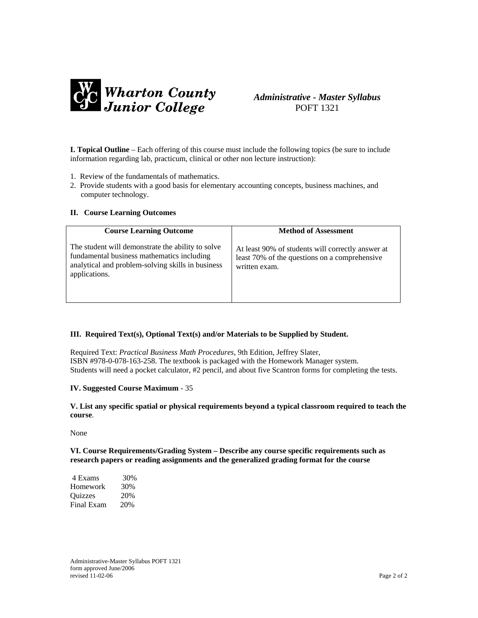

# *Administrative - Master Syllabus*  POFT 1321

**I. Topical Outline** – Each offering of this course must include the following topics (be sure to include information regarding lab, practicum, clinical or other non lecture instruction):

- 1. Review of the fundamentals of mathematics.
- 2. Provide students with a good basis for elementary accounting concepts, business machines, and computer technology.

#### **II. Course Learning Outcomes**

| <b>Course Learning Outcome</b>                                                                                                                                        | <b>Method of Assessment</b>                                                                                         |
|-----------------------------------------------------------------------------------------------------------------------------------------------------------------------|---------------------------------------------------------------------------------------------------------------------|
| The student will demonstrate the ability to solve<br>fundamental business mathematics including<br>analytical and problem-solving skills in business<br>applications. | At least 90% of students will correctly answer at<br>least 70% of the questions on a comprehensive<br>written exam. |

#### **III. Required Text(s), Optional Text(s) and/or Materials to be Supplied by Student.**

Required Text: *Practical Business Math Procedures*, 9th Edition, Jeffrey Slater, ISBN #978-0-078-163-258. The textbook is packaged with the Homework Manager system. Students will need a pocket calculator, #2 pencil, and about five Scantron forms for completing the tests.

#### **IV. Suggested Course Maximum** - 35

**V. List any specific spatial or physical requirements beyond a typical classroom required to teach the course**.

None

**VI. Course Requirements/Grading System – Describe any course specific requirements such as research papers or reading assignments and the generalized grading format for the course**

| 4 Exams    | 30% |
|------------|-----|
| Homework   | 30% |
| Quizzes    | 20% |
| Final Exam | 20% |

Administrative-Master Syllabus POFT 1321 form approved June/2006 revised 11-02-06 Page 2 of 2